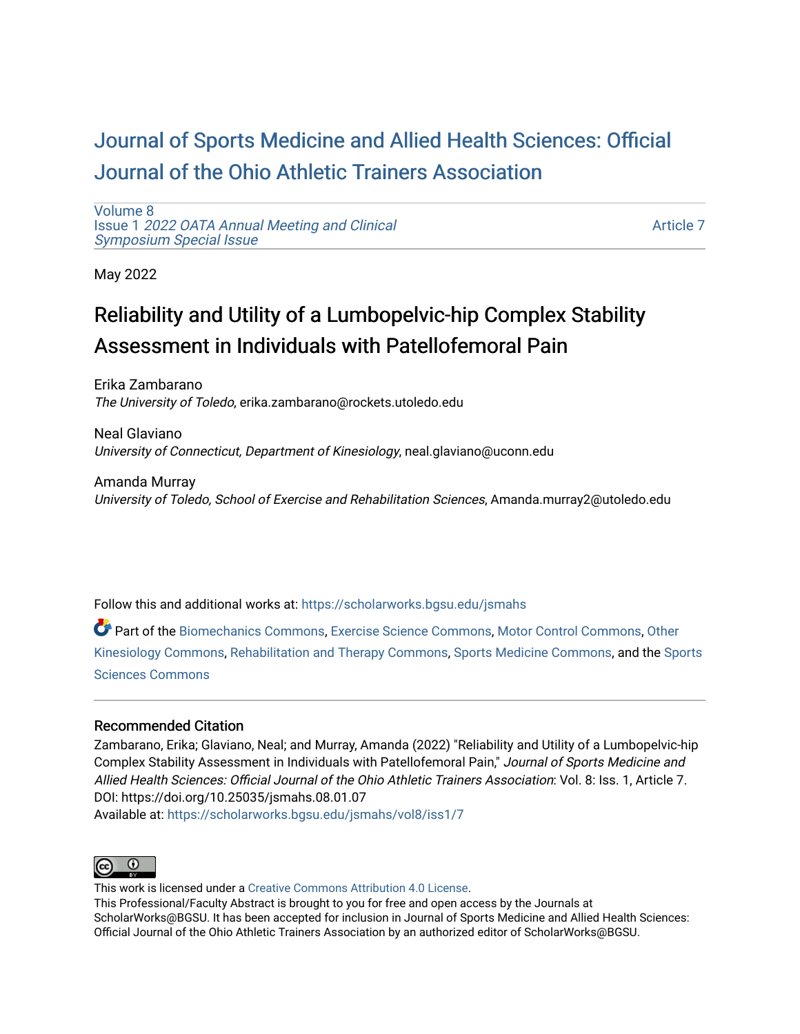## [Journal of Sports Medicine and Allied Health Sciences: Official](https://scholarworks.bgsu.edu/jsmahs)  [Journal of the Ohio Athletic Trainers Association](https://scholarworks.bgsu.edu/jsmahs)

[Volume 8](https://scholarworks.bgsu.edu/jsmahs/vol8) Issue 1 [2022 OATA Annual Meeting and Clinical](https://scholarworks.bgsu.edu/jsmahs/vol8/iss1) [Symposium Special Issue](https://scholarworks.bgsu.edu/jsmahs/vol8/iss1)

[Article 7](https://scholarworks.bgsu.edu/jsmahs/vol8/iss1/7) 

May 2022

# Reliability and Utility of a Lumbopelvic-hip Complex Stability Assessment in Individuals with Patellofemoral Pain

Erika Zambarano The University of Toledo, erika.zambarano@rockets.utoledo.edu

Neal Glaviano University of Connecticut, Department of Kinesiology, neal.glaviano@uconn.edu

Amanda Murray University of Toledo, School of Exercise and Rehabilitation Sciences, Amanda.murray2@utoledo.edu

Follow this and additional works at: [https://scholarworks.bgsu.edu/jsmahs](https://scholarworks.bgsu.edu/jsmahs?utm_source=scholarworks.bgsu.edu%2Fjsmahs%2Fvol8%2Fiss1%2F7&utm_medium=PDF&utm_campaign=PDFCoverPages)

Part of the [Biomechanics Commons,](https://network.bepress.com/hgg/discipline/43?utm_source=scholarworks.bgsu.edu%2Fjsmahs%2Fvol8%2Fiss1%2F7&utm_medium=PDF&utm_campaign=PDFCoverPages) [Exercise Science Commons](https://network.bepress.com/hgg/discipline/1091?utm_source=scholarworks.bgsu.edu%2Fjsmahs%2Fvol8%2Fiss1%2F7&utm_medium=PDF&utm_campaign=PDFCoverPages), [Motor Control Commons](https://network.bepress.com/hgg/discipline/45?utm_source=scholarworks.bgsu.edu%2Fjsmahs%2Fvol8%2Fiss1%2F7&utm_medium=PDF&utm_campaign=PDFCoverPages), [Other](https://network.bepress.com/hgg/discipline/47?utm_source=scholarworks.bgsu.edu%2Fjsmahs%2Fvol8%2Fiss1%2F7&utm_medium=PDF&utm_campaign=PDFCoverPages)  [Kinesiology Commons,](https://network.bepress.com/hgg/discipline/47?utm_source=scholarworks.bgsu.edu%2Fjsmahs%2Fvol8%2Fiss1%2F7&utm_medium=PDF&utm_campaign=PDFCoverPages) [Rehabilitation and Therapy Commons](https://network.bepress.com/hgg/discipline/749?utm_source=scholarworks.bgsu.edu%2Fjsmahs%2Fvol8%2Fiss1%2F7&utm_medium=PDF&utm_campaign=PDFCoverPages), [Sports Medicine Commons](https://network.bepress.com/hgg/discipline/1331?utm_source=scholarworks.bgsu.edu%2Fjsmahs%2Fvol8%2Fiss1%2F7&utm_medium=PDF&utm_campaign=PDFCoverPages), and the [Sports](https://network.bepress.com/hgg/discipline/759?utm_source=scholarworks.bgsu.edu%2Fjsmahs%2Fvol8%2Fiss1%2F7&utm_medium=PDF&utm_campaign=PDFCoverPages)  [Sciences Commons](https://network.bepress.com/hgg/discipline/759?utm_source=scholarworks.bgsu.edu%2Fjsmahs%2Fvol8%2Fiss1%2F7&utm_medium=PDF&utm_campaign=PDFCoverPages) 

#### Recommended Citation

Zambarano, Erika; Glaviano, Neal; and Murray, Amanda (2022) "Reliability and Utility of a Lumbopelvic-hip Complex Stability Assessment in Individuals with Patellofemoral Pain," Journal of Sports Medicine and Allied Health Sciences: Official Journal of the Ohio Athletic Trainers Association: Vol. 8: Iss. 1, Article 7. DOI: https://doi.org/10.25035/jsmahs.08.01.07 Available at: [https://scholarworks.bgsu.edu/jsmahs/vol8/iss1/7](https://scholarworks.bgsu.edu/jsmahs/vol8/iss1/7?utm_source=scholarworks.bgsu.edu%2Fjsmahs%2Fvol8%2Fiss1%2F7&utm_medium=PDF&utm_campaign=PDFCoverPages)



This work is licensed under a [Creative Commons Attribution 4.0 License](https://creativecommons.org/licenses/by/4.0/). This Professional/Faculty Abstract is brought to you for free and open access by the Journals at ScholarWorks@BGSU. It has been accepted for inclusion in Journal of Sports Medicine and Allied Health Sciences: Official Journal of the Ohio Athletic Trainers Association by an authorized editor of ScholarWorks@BGSU.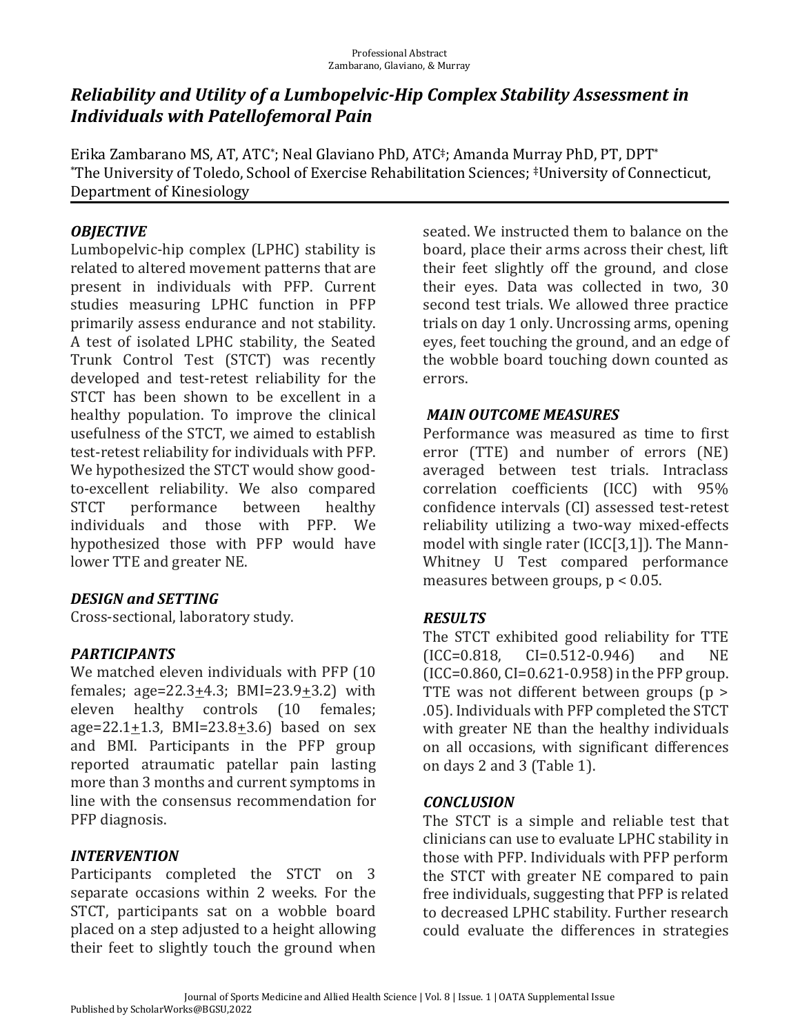### *Reliability and Utility of a Lumbopelvic-Hip Complex Stability Assessment in Individuals with Patellofemoral Pain*

Erika Zambarano MS, AT, ATC\* ; Neal Glaviano PhD, ATC‡; Amanda Murray PhD, PT, DPT\* \*The University of Toledo, School of Exercise Rehabilitation Sciences; ‡University of Connecticut, Department of Kinesiology

#### *OBJECTIVE*

Lumbopelvic-hip complex (LPHC) stability is related to altered movement patterns that are present in individuals with PFP. Current studies measuring LPHC function in PFP primarily assess endurance and not stability. A test of isolated LPHC stability, the Seated Trunk Control Test (STCT) was recently developed and test-retest reliability for the STCT has been shown to be excellent in a healthy population. To improve the clinical usefulness of the STCT, we aimed to establish test-retest reliability for individuals with PFP. We hypothesized the STCT would show goodto-excellent reliability. We also compared STCT performance between healthy individuals and those with PFP. We hypothesized those with PFP would have lower TTE and greater NE.

#### *DESIGN.and.SETTING*

Cross-sectional, laboratory study.

### *PARTICIPANTS*

We matched eleven individuals with PFP (10 females; age= $22.3+4.3$ ; BMI= $23.9+3.2$ ) with eleven healthy controls (10 females; age=22.1+1.3, BMI=23.8+3.6) based on sex and BMI. Participants in the PFP group reported atraumatic patellar pain lasting more than 3 months and current symptoms in line with the consensus recommendation for PFP diagnosis.

#### *INTERVENTION*

Participants completed the STCT on 3 separate occasions within 2 weeks. For the STCT, participants sat on a wobble board placed on a step adjusted to a height allowing their feet to slightly touch the ground when

seated. We instructed them to balance on the board, place their arms across their chest, lift their feet slightly off the ground, and close their eyes. Data was collected in two, 30 second test trials. We allowed three practice trials on day 1 only. Uncrossing arms, opening eyes, feet touching the ground, and an edge of the wobble board touching down counted as errors.

#### *MAIN.OUTCOME.MEASURES*

Performance was measured as time to first error (TTE) and number of errors (NE) averaged between test trials. Intraclass correlation coefficients (ICC) with 95% confidence intervals (CI) assessed test-retest reliability utilizing a two-way mixed-effects model with single rater (ICC[3,1]). The Mann-Whitney U Test compared performance measures between groups, p < 0.05.

#### *RESULTS*

The STCT exhibited good reliability for TTE (ICC=0.818, CI=0.512-0.946) and NE (ICC=0.860, CI=0.621-0.958) in the PFP group. TTE was not different between groups (p > .05). Individuals with PFP completed the STCT with greater NE than the healthy individuals on all occasions, with significant differences on days 2 and 3 (Table 1).

#### *CONCLUSION*

The STCT is a simple and reliable test that clinicians can use to evaluate LPHC stability in those with PFP. Individuals with PFP perform the STCT with greater NE compared to pain free individuals, suggesting that PFP is related to decreased LPHC stability. Further research could evaluate the differences in strategies